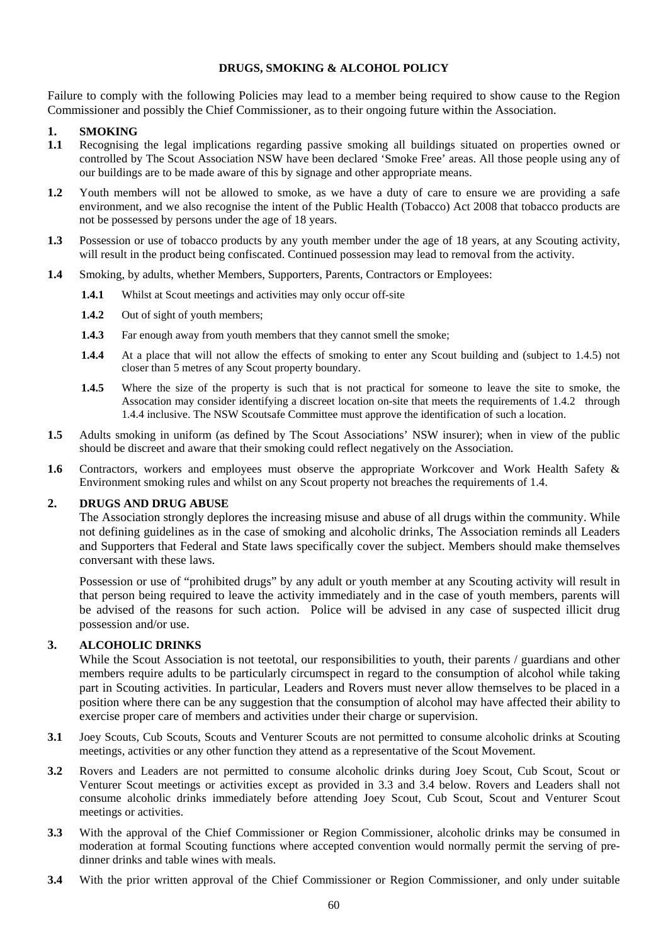## **DRUGS, SMOKING & ALCOHOL POLICY**

Failure to comply with the following Policies may lead to a member being required to show cause to the Region Commissioner and possibly the Chief Commissioner, as to their ongoing future within the Association.

## **1. SMOKING**

- **1.1** Recognising the legal implications regarding passive smoking all buildings situated on properties owned or controlled by The Scout Association NSW have been declared 'Smoke Free' areas. All those people using any of our buildings are to be made aware of this by signage and other appropriate means.
- **1.2** Youth members will not be allowed to smoke, as we have a duty of care to ensure we are providing a safe environment, and we also recognise the intent of the Public Health (Tobacco) Act 2008 that tobacco products are not be possessed by persons under the age of 18 years.
- **1.3** Possession or use of tobacco products by any youth member under the age of 18 years, at any Scouting activity, will result in the product being confiscated. Continued possession may lead to removal from the activity.
- **1.4** Smoking, by adults, whether Members, Supporters, Parents, Contractors or Employees:
	- **1.4.1** Whilst at Scout meetings and activities may only occur off-site
	- **1.4.2** Out of sight of youth members;
	- **1.4.3** Far enough away from youth members that they cannot smell the smoke;
	- **1.4.4** At a place that will not allow the effects of smoking to enter any Scout building and (subject to 1.4.5) not closer than 5 metres of any Scout property boundary.
	- **1.4.5** Where the size of the property is such that is not practical for someone to leave the site to smoke, the Assocation may consider identifying a discreet location on-site that meets the requirements of 1.4.2 through 1.4.4 inclusive. The NSW Scoutsafe Committee must approve the identification of such a location.
- **1.5** Adults smoking in uniform (as defined by The Scout Associations' NSW insurer); when in view of the public should be discreet and aware that their smoking could reflect negatively on the Association.
- **1.6** Contractors, workers and employees must observe the appropriate Workcover and Work Health Safety & Environment smoking rules and whilst on any Scout property not breaches the requirements of 1.4.

## **2. DRUGS AND DRUG ABUSE**

The Association strongly deplores the increasing misuse and abuse of all drugs within the community. While not defining guidelines as in the case of smoking and alcoholic drinks, The Association reminds all Leaders and Supporters that Federal and State laws specifically cover the subject. Members should make themselves conversant with these laws.

Possession or use of "prohibited drugs" by any adult or youth member at any Scouting activity will result in that person being required to leave the activity immediately and in the case of youth members, parents will be advised of the reasons for such action. Police will be advised in any case of suspected illicit drug possession and/or use.

## **3. ALCOHOLIC DRINKS**

While the Scout Association is not teetotal, our responsibilities to youth, their parents / guardians and other members require adults to be particularly circumspect in regard to the consumption of alcohol while taking part in Scouting activities. In particular, Leaders and Rovers must never allow themselves to be placed in a position where there can be any suggestion that the consumption of alcohol may have affected their ability to exercise proper care of members and activities under their charge or supervision.

- **3.1** Joey Scouts, Cub Scouts, Scouts and Venturer Scouts are not permitted to consume alcoholic drinks at Scouting meetings, activities or any other function they attend as a representative of the Scout Movement.
- **3.2** Rovers and Leaders are not permitted to consume alcoholic drinks during Joey Scout, Cub Scout, Scout or Venturer Scout meetings or activities except as provided in 3.3 and 3.4 below. Rovers and Leaders shall not consume alcoholic drinks immediately before attending Joey Scout, Cub Scout, Scout and Venturer Scout meetings or activities.
- **3.3** With the approval of the Chief Commissioner or Region Commissioner, alcoholic drinks may be consumed in moderation at formal Scouting functions where accepted convention would normally permit the serving of predinner drinks and table wines with meals.
- **3.4** With the prior written approval of the Chief Commissioner or Region Commissioner, and only under suitable